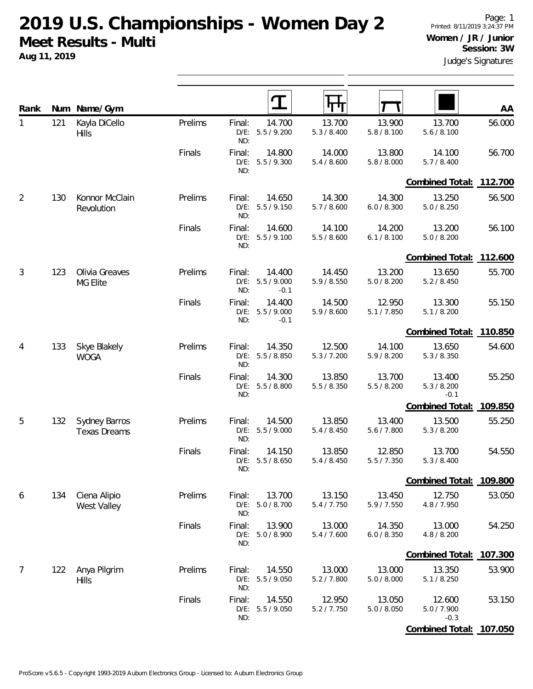**Aug 11, 2019**

| Rank | Num | Name/Gym                             |         |                          | Т                             |                       |                       |                                 | AA      |
|------|-----|--------------------------------------|---------|--------------------------|-------------------------------|-----------------------|-----------------------|---------------------------------|---------|
| 1    | 121 | Kayla DiCello<br>Hills               | Prelims | Final:<br>$D/E$ :<br>ND: | 14.700<br>5.5/9.200           | 13.700<br>5.3 / 8.400 | 13.900<br>5.8 / 8.100 | 13.700<br>5.6 / 8.100           | 56.000  |
|      |     |                                      | Finals  | Final:<br>$D/E$ :<br>ND: | 14.800<br>5.5 / 9.300         | 14.000<br>5.4 / 8.600 | 13.800<br>5.8 / 8.000 | 14.100<br>5.7 / 8.400           | 56.700  |
|      |     |                                      |         |                          |                               |                       |                       | Combined Total: 112.700         |         |
| 2    | 130 | Konnor McClain<br>Revolution         | Prelims | Final:<br>$D/E$ :<br>ND: | 14.650<br>5.5/9.150           | 14.300<br>5.7 / 8.600 | 14.300<br>6.0 / 8.300 | 13.250<br>5.0 / 8.250           | 56.500  |
|      |     |                                      | Finals  | Final:<br>$D/E$ :<br>ND: | 14.600<br>5.5 / 9.100         | 14.100<br>5.5 / 8.600 | 14.200<br>6.1 / 8.100 | 13.200<br>5.0 / 8.200           | 56.100  |
|      |     |                                      |         |                          |                               |                       |                       | Combined Total: 112.600         |         |
| 3    | 123 | Olivia Greaves<br><b>MG Elite</b>    | Prelims | Final:<br>$D/E$ :<br>ND: | 14.400<br>5.5/9.000<br>$-0.1$ | 14.450<br>5.9 / 8.550 | 13.200<br>5.0 / 8.200 | 13.650<br>5.2 / 8.450           | 55.700  |
|      |     |                                      | Finals  | Final:<br>$D/E$ :<br>ND: | 14.400<br>5.5/9.000<br>$-0.1$ | 14.500<br>5.9 / 8.600 | 12.950<br>5.1/7.850   | 13.300<br>5.1 / 8.200           | 55.150  |
|      |     |                                      |         |                          |                               |                       |                       | Combined Total: 110.850         |         |
| 4    | 133 | Skye Blakely<br><b>WOGA</b>          | Prelims | Final:<br>$D/E$ :<br>ND: | 14.350<br>5.5 / 8.850         | 12.500<br>5.3 / 7.200 | 14.100<br>5.9 / 8.200 | 13.650<br>5.3 / 8.350           | 54.600  |
|      |     |                                      | Finals  | Final:<br>$D/E$ :<br>ND: | 14.300<br>5.5 / 8.800         | 13.850<br>5.5 / 8.350 | 13.700<br>5.5 / 8.200 | 13.400<br>5.3 / 8.200<br>$-0.1$ | 55.250  |
|      |     |                                      |         |                          |                               |                       |                       | <b>Combined Total:</b>          | 109.850 |
| 5    | 132 | Sydney Barros<br><b>Texas Dreams</b> | Prelims | Final:<br>$D/E$ :<br>ND: | 14.500<br>5.5 / 9.000         | 13.850<br>5.4 / 8.450 | 13.400<br>5.6 / 7.800 | 13.500<br>5.3 / 8.200           | 55.250  |
|      |     |                                      | Finals  | Final:<br>$D/E$ :<br>ND: | 14.150<br>5.5 / 8.650         | 13.850<br>5.4 / 8.450 | 12.850<br>5.5 / 7.350 | 13.700<br>5.3 / 8.400           | 54.550  |
|      |     |                                      |         |                          |                               |                       |                       | Combined Total: 109.800         |         |
| 6    | 134 | Ciena Alipio<br>West Valley          | Prelims | Final:<br>$D/E$ :<br>ND: | 13.700<br>5.0 / 8.700         | 13.150<br>5.4 / 7.750 | 13.450<br>5.9 / 7.550 | 12.750<br>4.8 / 7.950           | 53.050  |
|      |     |                                      | Finals  | Final:<br>$D/E$ :<br>ND: | 13.900<br>5.0 / 8.900         | 13.000<br>5.4 / 7.600 | 14.350<br>6.0 / 8.350 | 13.000<br>4.8 / 8.200           | 54.250  |
|      |     |                                      |         |                          |                               |                       |                       | Combined Total: 107.300         |         |
| 7    | 122 | Anya Pilgrim<br>Hills                | Prelims | Final:<br>$D/E$ :<br>ND: | 14.550<br>5.5 / 9.050         | 13.000<br>5.2 / 7.800 | 13.000<br>5.0 / 8.000 | 13.350<br>5.1 / 8.250           | 53.900  |
|      |     |                                      | Finals  | Final:<br>ND:            | 14.550<br>D/E: 5.5 / 9.050    | 12.950<br>5.2 / 7.750 | 13.050<br>5.0 / 8.050 | 12.600<br>5.0 / 7.900<br>$-0.3$ | 53.150  |
|      |     |                                      |         |                          |                               |                       |                       | Combined Total: 107.050         |         |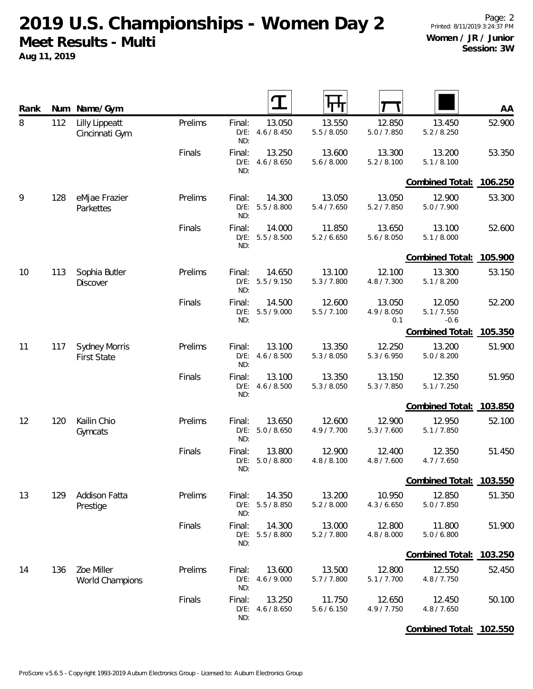**Aug 11, 2019**

| Rank |     | Num Name/Gym                               |         |                          | $\bigcap$                  | पाप                   |                              |                                 | AA      |
|------|-----|--------------------------------------------|---------|--------------------------|----------------------------|-----------------------|------------------------------|---------------------------------|---------|
| 8    | 112 | <b>Lilly Lippeatt</b><br>Cincinnati Gym    | Prelims | Final:<br>$D/E$ :<br>ND: | 13.050<br>4.6 / 8.450      | 13.550<br>5.5 / 8.050 | 12.850<br>5.0 / 7.850        | 13.450<br>5.2 / 8.250           | 52.900  |
|      |     |                                            | Finals  | Final:<br>$D/E$ :<br>ND: | 13.250<br>4.6 / 8.650      | 13.600<br>5.6 / 8.000 | 13.300<br>5.2 / 8.100        | 13.200<br>5.1 / 8.100           | 53.350  |
|      |     |                                            |         |                          |                            |                       |                              | Combined Total: 106.250         |         |
| 9    | 128 | eMjae Frazier<br>Parkettes                 | Prelims | Final:<br>$D/E$ :<br>ND: | 14.300<br>5.5 / 8.800      | 13.050<br>5.4 / 7.650 | 13.050<br>5.2 / 7.850        | 12.900<br>5.0 / 7.900           | 53.300  |
|      |     |                                            | Finals  | Final:<br>ND:            | 14.000<br>D/E: 5.5 / 8.500 | 11.850<br>5.2 / 6.650 | 13.650<br>5.6 / 8.050        | 13.100<br>5.1 / 8.000           | 52.600  |
|      |     |                                            |         |                          |                            |                       |                              | Combined Total: 105.900         |         |
| 10   | 113 | Sophia Butler<br><b>Discover</b>           | Prelims | Final:<br>$D/E$ :<br>ND: | 14.650<br>5.5/9.150        | 13.100<br>5.3 / 7.800 | 12.100<br>4.8 / 7.300        | 13.300<br>5.1 / 8.200           | 53.150  |
|      |     |                                            | Finals  | Final:<br>$D/E$ :<br>ND: | 14.500<br>5.5/9.000        | 12.600<br>5.5 / 7.100 | 13.050<br>4.9 / 8.050<br>0.1 | 12.050<br>5.1 / 7.550<br>$-0.6$ | 52.200  |
|      |     |                                            |         |                          |                            |                       |                              | Combined Total:                 | 105.350 |
| 11   | 117 | <b>Sydney Morris</b><br><b>First State</b> | Prelims | Final:<br>$D/E$ :<br>ND: | 13.100<br>4.6 / 8.500      | 13.350<br>5.3 / 8.050 | 12.250<br>5.3 / 6.950        | 13.200<br>5.0 / 8.200           | 51.900  |
|      |     |                                            | Finals  | Final:<br>$D/E$ :<br>ND: | 13.100<br>4.6 / 8.500      | 13.350<br>5.3 / 8.050 | 13.150<br>5.3 / 7.850        | 12.350<br>5.1 / 7.250           | 51.950  |
|      |     |                                            |         |                          |                            |                       |                              | Combined Total: 103.850         |         |
| 12   | 120 | Kailin Chio<br>Gymcats                     | Prelims | Final:<br>$D/E$ :<br>ND: | 13.650<br>5.0 / 8.650      | 12.600<br>4.9/7.700   | 12.900<br>5.3 / 7.600        | 12.950<br>5.1 / 7.850           | 52.100  |
|      |     |                                            | Finals  | Final:<br>$D/E$ :<br>ND: | 13.800<br>5.0 / 8.800      | 12.900<br>4.8 / 8.100 | 12.400<br>4.8 / 7.600        | 12.350<br>4.7/7.650             | 51.450  |
|      |     |                                            |         |                          |                            |                       |                              | Combined Total: 103.550         |         |
| 13   | 129 | Addison Fatta<br>Prestige                  | Prelims | Final:<br>$D/E$ :<br>ND: | 14.350<br>5.5/8.850        | 13.200<br>5.2 / 8.000 | 10.950<br>4.3 / 6.650        | 12.850<br>5.0 / 7.850           | 51.350  |
|      |     |                                            | Finals  | Final:<br>ND:            | 14.300<br>D/E: 5.5 / 8.800 | 13.000<br>5.2 / 7.800 | 12.800<br>4.8 / 8.000        | 11.800<br>5.0 / 6.800           | 51.900  |
|      |     |                                            |         |                          |                            |                       |                              | Combined Total: 103.250         |         |
| 14   | 136 | Zoe Miller<br>World Champions              | Prelims | Final:<br>$D/E$ :<br>ND: | 13.600<br>4.6 / 9.000      | 13.500<br>5.7 / 7.800 | 12.800<br>5.1/7.700          | 12.550<br>4.8 / 7.750           | 52.450  |
|      |     |                                            | Finals  | Final:<br>$D/E$ :<br>ND: | 13.250<br>4.6 / 8.650      | 11.750<br>5.6 / 6.150 | 12.650<br>4.9 / 7.750        | 12.450<br>4.8 / 7.650           | 50.100  |
|      |     |                                            |         |                          |                            |                       |                              | Combined Total:                 | 102.550 |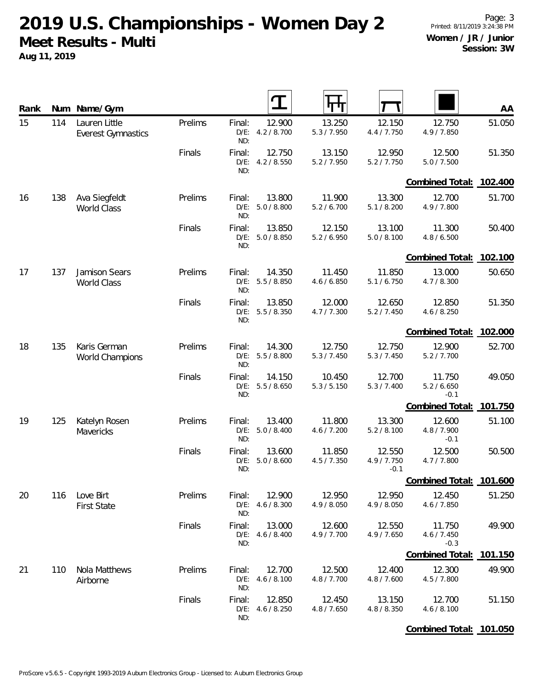**Aug 11, 2019**

| Rank |     | Num Name/Gym                               |         |                          | $\mathbf T$           |                       |                                 |                                 | AA      |
|------|-----|--------------------------------------------|---------|--------------------------|-----------------------|-----------------------|---------------------------------|---------------------------------|---------|
| 15   | 114 | Lauren Little<br><b>Everest Gymnastics</b> | Prelims | Final:<br>$D/E$ :<br>ND: | 12.900<br>4.2 / 8.700 | 13.250<br>5.3 / 7.950 | 12.150<br>4.4 / 7.750           | 12.750<br>4.9 / 7.850           | 51.050  |
|      |     |                                            | Finals  | Final:<br>$D/E$ :<br>ND: | 12.750<br>4.2 / 8.550 | 13.150<br>5.2 / 7.950 | 12.950<br>5.2 / 7.750           | 12.500<br>5.0 / 7.500           | 51.350  |
|      |     |                                            |         |                          |                       |                       |                                 | Combined Total: 102.400         |         |
| 16   | 138 | Ava Siegfeldt<br><b>World Class</b>        | Prelims | Final:<br>$D/E$ :<br>ND: | 13.800<br>5.0 / 8.800 | 11.900<br>5.2 / 6.700 | 13.300<br>5.1 / 8.200           | 12.700<br>4.9 / 7.800           | 51.700  |
|      |     |                                            | Finals  | Final:<br>$D/E$ :<br>ND: | 13.850<br>5.0 / 8.850 | 12.150<br>5.2/6.950   | 13.100<br>5.0 / 8.100           | 11.300<br>4.8 / 6.500           | 50.400  |
|      |     |                                            |         |                          |                       |                       |                                 | Combined Total: 102.100         |         |
| 17   | 137 | Jamison Sears<br><b>World Class</b>        | Prelims | Final:<br>$D/E$ :<br>ND: | 14.350<br>5.5 / 8.850 | 11.450<br>4.6 / 6.850 | 11.850<br>5.1 / 6.750           | 13.000<br>4.7 / 8.300           | 50.650  |
|      |     |                                            | Finals  | Final:<br>$D/E$ :<br>ND: | 13.850<br>5.5 / 8.350 | 12.000<br>4.7 / 7.300 | 12.650<br>5.2 / 7.450           | 12.850<br>4.6 / 8.250           | 51.350  |
|      |     |                                            |         |                          |                       |                       |                                 | Combined Total: 102.000         |         |
| 18   | 135 | Karis German<br><b>World Champions</b>     | Prelims | Final:<br>$D/E$ :<br>ND: | 14.300<br>5.5 / 8.800 | 12.750<br>5.3 / 7.450 | 12.750<br>5.3 / 7.450           | 12.900<br>5.2 / 7.700           | 52.700  |
|      |     |                                            | Finals  | Final:<br>$D/E$ :<br>ND: | 14.150<br>5.5 / 8.650 | 10.450<br>5.3 / 5.150 | 12.700<br>5.3 / 7.400           | 11.750<br>5.2 / 6.650<br>$-0.1$ | 49.050  |
|      |     |                                            |         |                          |                       |                       |                                 | Combined Total: 101.750         |         |
| 19   | 125 | Katelyn Rosen<br>Mavericks                 | Prelims | Final:<br>$D/E$ :<br>ND: | 13.400<br>5.0 / 8.400 | 11.800<br>4.6 / 7.200 | 13.300<br>5.2 / 8.100           | 12.600<br>4.8 / 7.900<br>$-0.1$ | 51.100  |
|      |     |                                            | Finals  | Final:<br>$D/E$ :<br>ND: | 13.600<br>5.0 / 8.600 | 11.850<br>4.5 / 7.350 | 12.550<br>4.9 / 7.750<br>$-0.1$ | 12.500<br>4.7 / 7.800           | 50.500  |
|      |     |                                            |         |                          |                       |                       |                                 | Combined Total: 101.600         |         |
| 20   | 116 | Love Birt<br><b>First State</b>            | Prelims | Final:<br>$D/E$ :<br>ND: | 12.900<br>4.6 / 8.300 | 12.950<br>4.9 / 8.050 | 12.950<br>4.9 / 8.050           | 12.450<br>4.6 / 7.850           | 51.250  |
|      |     |                                            | Finals  | Final:<br>$D/E$ :<br>ND: | 13.000<br>4.6 / 8.400 | 12.600<br>4.9 / 7.700 | 12.550<br>4.9 / 7.650           | 11.750<br>4.6 / 7.450<br>$-0.3$ | 49.900  |
|      |     |                                            |         |                          |                       |                       |                                 | <b>Combined Total:</b>          | 101.150 |
| 21   | 110 | Nola Matthews<br>Airborne                  | Prelims | Final:<br>$D/E$ :<br>ND: | 12.700<br>4.6 / 8.100 | 12.500<br>4.8 / 7.700 | 12.400<br>4.8 / 7.600           | 12.300<br>4.5 / 7.800           | 49.900  |
|      |     |                                            | Finals  | Final:<br>$D/E$ :<br>ND: | 12.850<br>4.6 / 8.250 | 12.450<br>4.8 / 7.650 | 13.150<br>4.8 / 8.350           | 12.700<br>4.6 / 8.100           | 51.150  |
|      |     |                                            |         |                          |                       |                       |                                 | Combined Total: 101.050         |         |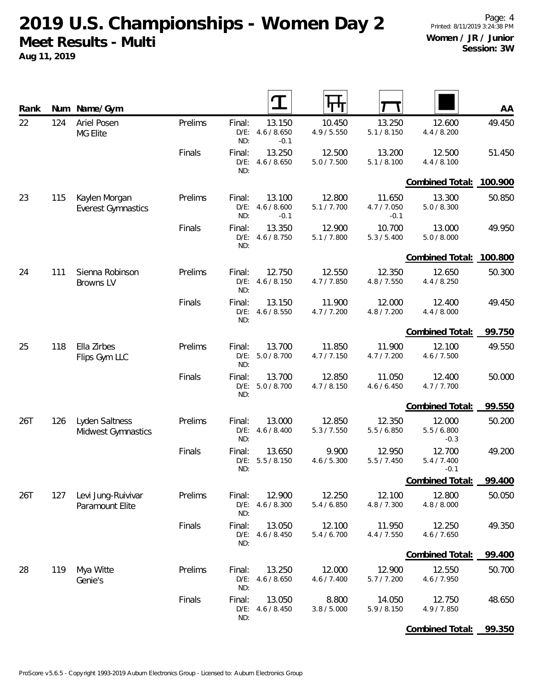**Aug 11, 2019**

| Rank |     | Num Name/Gym                               |         |                          |                                 | पाग                   |                                 |                                 | AA      |
|------|-----|--------------------------------------------|---------|--------------------------|---------------------------------|-----------------------|---------------------------------|---------------------------------|---------|
| 22   | 124 | Ariel Posen<br><b>MG Elite</b>             | Prelims | Final:<br>$D/E$ :<br>ND: | 13.150<br>4.6 / 8.650<br>$-0.1$ | 10.450<br>4.9 / 5.550 | 13.250<br>5.1 / 8.150           | 12.600<br>4.4 / 8.200           | 49.450  |
|      |     |                                            | Finals  | Final:<br>$D/E$ :<br>ND: | 13.250<br>4.6 / 8.650           | 12.500<br>5.0 / 7.500 | 13.200<br>5.1 / 8.100           | 12.500<br>4.4 / 8.100           | 51.450  |
|      |     |                                            |         |                          |                                 |                       |                                 | Combined Total:                 | 100.900 |
| 23   | 115 | Kaylen Morgan<br><b>Everest Gymnastics</b> | Prelims | Final:<br>$D/E$ :<br>ND: | 13.100<br>4.6 / 8.600<br>$-0.1$ | 12.800<br>5.1 / 7.700 | 11.650<br>4.7 / 7.050<br>$-0.1$ | 13.300<br>5.0 / 8.300           | 50.850  |
|      |     |                                            | Finals  | Final:<br>$D/E$ :<br>ND: | 13.350<br>4.6 / 8.750           | 12.900<br>5.1 / 7.800 | 10.700<br>5.3 / 5.400           | 13.000<br>5.0 / 8.000           | 49.950  |
|      |     |                                            |         |                          |                                 |                       |                                 | <b>Combined Total:</b>          | 100.800 |
| 24   | 111 | Sienna Robinson<br>Browns LV               | Prelims | Final:<br>$D/E$ :<br>ND: | 12.750<br>4.6 / 8.150           | 12.550<br>4.7 / 7.850 | 12.350<br>4.8 / 7.550           | 12.650<br>4.4 / 8.250           | 50.300  |
|      |     |                                            | Finals  | Final:<br>$D/E$ :<br>ND: | 13.150<br>4.6 / 8.550           | 11.900<br>4.7 / 7.200 | 12.000<br>4.8 / 7.200           | 12.400<br>4.4 / 8.000           | 49.450  |
|      |     |                                            |         |                          |                                 |                       |                                 | <b>Combined Total:</b>          | 99.750  |
| 25   | 118 | Ella Zirbes<br>Flips Gym LLC               | Prelims | Final:<br>$D/E$ :<br>ND: | 13.700<br>5.0 / 8.700           | 11.850<br>4.7 / 7.150 | 11.900<br>4.7 / 7.200           | 12.100<br>4.6 / 7.500           | 49.550  |
|      |     |                                            | Finals  | Final:<br>$D/E$ :<br>ND: | 13.700<br>5.0 / 8.700           | 12.850<br>4.7 / 8.150 | 11.050<br>4.6 / 6.450           | 12.400<br>4.7 / 7.700           | 50.000  |
|      |     |                                            |         |                          |                                 |                       |                                 | <b>Combined Total:</b>          | 99.550  |
| 26T  | 126 | Lyden Saltness<br>Midwest Gymnastics       | Prelims | Final:<br>$D/E$ :<br>ND: | 13.000<br>4.6 / 8.400           | 12.850<br>5.3 / 7.550 | 12.350<br>5.5/6.850             | 12.000<br>5.5/6.800<br>$-0.3$   | 50.200  |
|      |     |                                            | Finals  | Final:<br>$D/E$ :<br>ND: | 13.650<br>5.5 / 8.150           | 9.900<br>4.6 / 5.300  | 12.950<br>5.5/7.450             | 12.700<br>5.4 / 7.400<br>$-0.1$ | 49.200  |
|      |     |                                            |         |                          |                                 |                       |                                 | Combined Total:                 | 99.400  |
| 26T  | 127 | Levi Jung-Ruivivar<br>Paramount Elite      | Prelims | Final:<br>$D/E$ :<br>ND: | 12.900<br>4.6 / 8.300           | 12.250<br>5.4 / 6.850 | 12.100<br>4.8 / 7.300           | 12.800<br>4.8 / 8.000           | 50.050  |
|      |     |                                            | Finals  | Final:<br>$D/E$ :<br>ND: | 13.050<br>4.6 / 8.450           | 12.100<br>5.4 / 6.700 | 11.950<br>4.4 / 7.550           | 12.250<br>4.6 / 7.650           | 49.350  |
|      |     |                                            |         |                          |                                 |                       |                                 | Combined Total:                 | 99.400  |
| 28   | 119 | Mya Witte<br>Genie's                       | Prelims | Final:<br>$D/E$ :<br>ND: | 13.250<br>4.6 / 8.650           | 12.000<br>4.6 / 7.400 | 12.900<br>5.7 / 7.200           | 12.550<br>4.6 / 7.950           | 50.700  |
|      |     |                                            | Finals  | Final:<br>$D/E$ :<br>ND: | 13.050<br>4.6 / 8.450           | 8.800<br>3.8 / 5.000  | 14.050<br>5.9 / 8.150           | 12.750<br>4.9 / 7.850           | 48.650  |
|      |     |                                            |         |                          |                                 |                       |                                 | <b>Combined Total:</b>          | 99.350  |